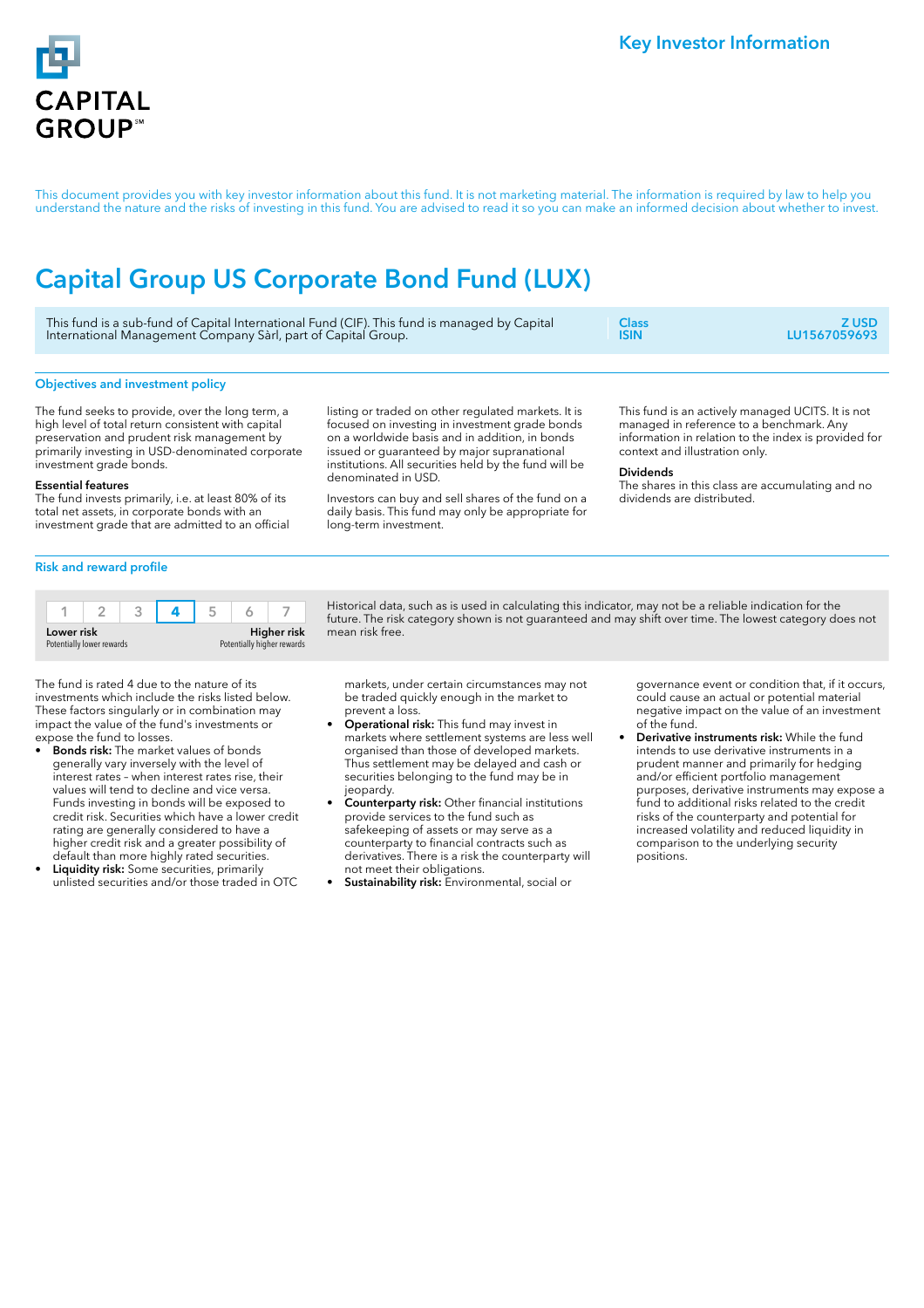

This document provides you with key investor information about this fund. It is not marketing material. The information is required by law to help you understand the nature and the risks of investing in this fund. You are advised to read it so you can make an informed decision about whether to invest.

# Capital Group US Corporate Bond Fund (LUX)

| This fund is a sub-fund of Capital International Fund (CIF). This fund is managed by Capital | <b>Class</b> | Z USD.       |
|----------------------------------------------------------------------------------------------|--------------|--------------|
| International Management Company Sàrl, part of Capital Group.                                | <b>ISIN</b>  | LU1567059693 |
|                                                                                              |              |              |

## Objectives and investment policy

The fund seeks to provide, over the long term, a high level of total return consistent with capital preservation and prudent risk management by primarily investing in USD-denominated corporate investment grade bonds.

## Essential features

The fund invests primarily, i.e. at least 80% of its total net assets, in corporate bonds with an investment grade that are admitted to an official listing or traded on other regulated markets. It is focused on investing in investment grade bonds on a worldwide basis and in addition, in bonds issued or guaranteed by major supranational institutions. All securities held by the fund will be denominated in USD.

Investors can buy and sell shares of the fund on a daily basis. This fund may only be appropriate for long-term investment.

This fund is an actively managed UCITS. It is not managed in reference to a benchmark. Any information in relation to the index is provided for context and illustration only.

## Dividends

The shares in this class are accumulating and no dividends are distributed.

## Risk and reward profile

| Lower risk<br>Potentially lower rewards |  |  | Higher risk<br>Potentially higher rewards |  |  |  |
|-----------------------------------------|--|--|-------------------------------------------|--|--|--|

Historical data, such as is used in calculating this indicator, may not be a reliable indication for the future. The risk category shown is not guaranteed and may shift over time. The lowest category does not mean risk free.

The fund is rated 4 due to the nature of its investments which include the risks listed below. These factors singularly or in combination may impact the value of the fund's investments or expose the fund to losses.

- Bonds risk: The market values of bonds generally vary inversely with the level of interest rates – when interest rates rise, their values will tend to decline and vice versa. Funds investing in bonds will be exposed to credit risk. Securities which have a lower credit rating are generally considered to have a higher credit risk and a greater possibility of default than more highly rated securities.
- Liquidity risk: Some securities, primarily unlisted securities and/or those traded in OTC

markets, under certain circumstances may not be traded quickly enough in the market to prevent a loss.

- Operational risk: This fund may invest in markets where settlement systems are less well organised than those of developed markets. Thus settlement may be delayed and cash or securities belonging to the fund may be in jeopardy.
- Counterparty risk: Other financial institutions provide services to the fund such as safekeeping of assets or may serve as a counterparty to financial contracts such as derivatives. There is a risk the counterparty will not meet their obligations.
- Sustainability risk: Environmental, social or

governance event or condition that, if it occurs, could cause an actual or potential material negative impact on the value of an investment of the fund.

Derivative instruments risk: While the fund intends to use derivative instruments in a prudent manner and primarily for hedging and/or efficient portfolio management purposes, derivative instruments may expose a fund to additional risks related to the credit risks of the counterparty and potential for increased volatility and reduced liquidity in comparison to the underlying security positions.